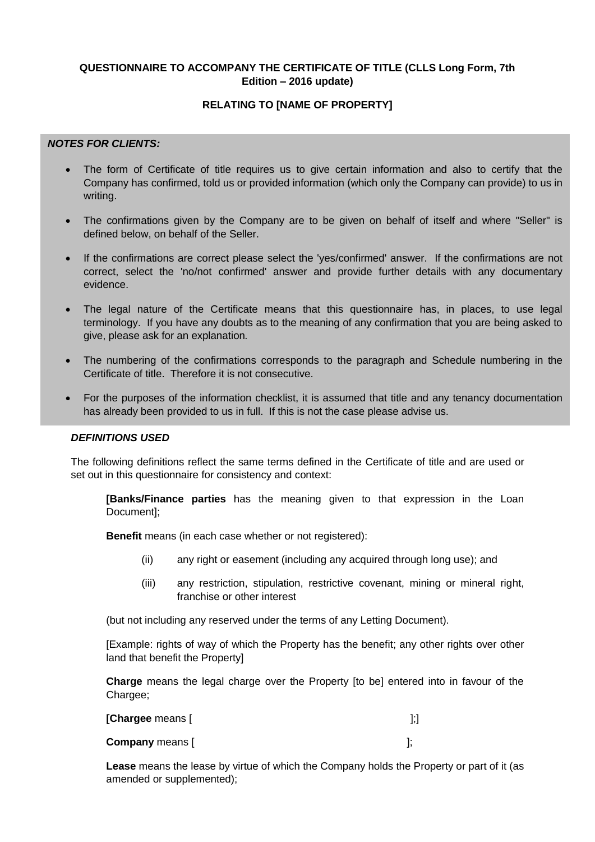# **QUESTIONNAIRE TO ACCOMPANY THE CERTIFICATE OF TITLE (CLLS Long Form, 7th Edition – 2016 update)**

# **RELATING TO [NAME OF PROPERTY]**

# *NOTES FOR CLIENTS:*

- The form of Certificate of title requires us to give certain information and also to certify that the Company has confirmed, told us or provided information (which only the Company can provide) to us in writing.
- The confirmations given by the Company are to be given on behalf of itself and where "Seller" is defined below, on behalf of the Seller.
- If the confirmations are correct please select the 'yes/confirmed' answer. If the confirmations are not correct, select the 'no/not confirmed' answer and provide further details with any documentary evidence.
- The legal nature of the Certificate means that this questionnaire has, in places, to use legal terminology. If you have any doubts as to the meaning of any confirmation that you are being asked to give, please ask for an explanation*.*
- The numbering of the confirmations corresponds to the paragraph and Schedule numbering in the Certificate of title. Therefore it is not consecutive.
- For the purposes of the information checklist, it is assumed that title and any tenancy documentation has already been provided to us in full. If this is not the case please advise us.

## *DEFINITIONS USED* **In a number of plances in this question of plances are provided. These are provided in the provided of plances are provided. The provided of plances are provided. The provided of plances are provided**

The following definitions reflect the same terms defined in the Certificate of title and are used or set out in this questionnaire for consistency and context:

**[Banks/Finance parties** has the meaning given to that expression in the Loan Document];

**Benefit** means (in each case whether or not registered):

- (ii) any right or easement (including any acquired through long use); and
	- (iii) any restriction, stipulation, restrictive covenant, mining or mineral right, franchise or other interest

(but not including any reserved under the terms of any Letting Document).

[Example: rights of way of which the Property has the benefit; any other rights over other land that benefit the Property]

**Charge** means the legal charge over the Property [to be] entered into in favour of the Chargee;

| [Chargee means [       |  |
|------------------------|--|
| <b>Company</b> means [ |  |

**Lease** means the lease by virtue of which the Company holds the Property or part of it (as amended or supplemented);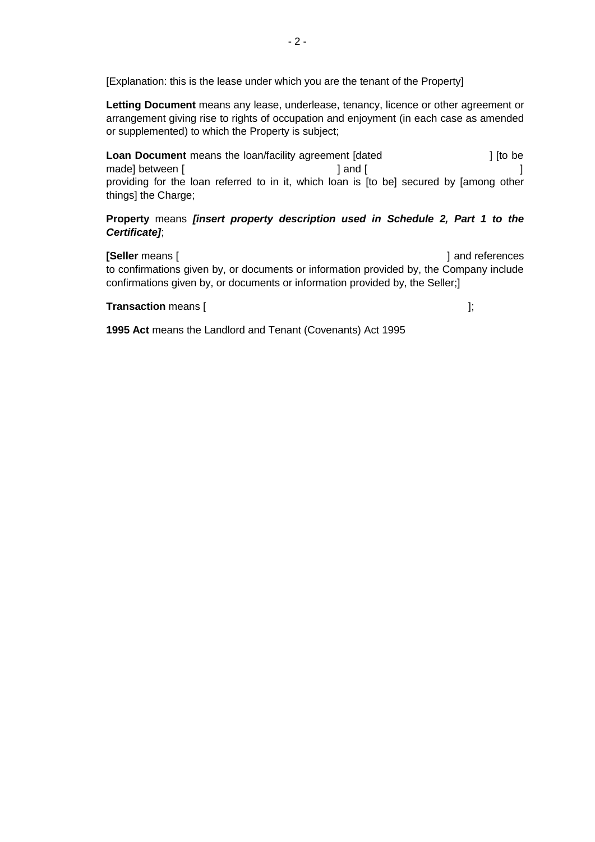[Explanation: this is the lease under which you are the tenant of the Property]

**Letting Document** means any lease, underlease, tenancy, licence or other agreement or arrangement giving rise to rights of occupation and enjoyment (in each case as amended or supplemented) to which the Property is subject;

**Loan Document** means the loan/facility agreement [dated **]** [to be made] between [ ] and [ ] and [ providing for the loan referred to in it, which loan is [to be] secured by [among other things] the Charge;

**Property** means *[insert property description used in Schedule 2, Part 1 to the Certificate]*;

**[Seller** means **[**  $\blacksquare$  **]** and references to confirmations given by, or documents or information provided by, the Company include confirmations given by, or documents or information provided by, the Seller;]

**Transaction** means [ ]; [ ]; [ ]; [ ]; [ ]

**1995 Act** means the Landlord and Tenant (Covenants) Act 1995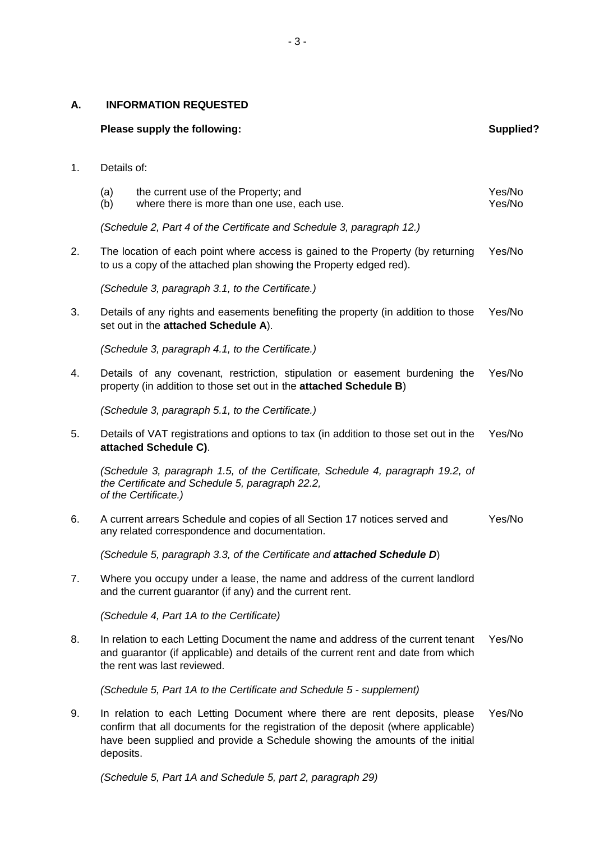#### **A. INFORMATION REQUESTED**

#### **Please supply the following: Supplied? Supplied? Supplied? Supplied?**

#### 1. Details of:

| (a) | the current use of the Property; and        | Yes/No |
|-----|---------------------------------------------|--------|
| (b) | where there is more than one use, each use. | Yes/No |

*(Schedule 2, Part 4 of the Certificate and Schedule 3, paragraph 12.)*

2. The location of each point where access is gained to the Property (by returning Yes/No to us a copy of the attached plan showing the Property edged red).

*(Schedule 3, paragraph 3.1, to the Certificate.)*

3. Details of any rights and easements benefiting the property (in addition to those set out in the **attached Schedule A**). Yes/No

*(Schedule 3, paragraph 4.1, to the Certificate.)*

4. Details of any covenant, restriction, stipulation or easement burdening the property (in addition to those set out in the **attached Schedule B**) Yes/No

*(Schedule 3, paragraph 5.1, to the Certificate.)*

5. Details of VAT registrations and options to tax (in addition to those set out in the **attached Schedule C)**. Yes/No

*(Schedule 3, paragraph 1.5, of the Certificate, Schedule 4, paragraph 19.2, of the Certificate and Schedule 5, paragraph 22.2, of the Certificate.)*

6. A current arrears Schedule and copies of all Section 17 notices served and any related correspondence and documentation. Yes/No

*(Schedule 5, paragraph 3.3, of the Certificate and attached Schedule D*)

7. Where you occupy under a lease, the name and address of the current landlord and the current guarantor (if any) and the current rent.

*(Schedule 4, Part 1A to the Certificate)*

8. In relation to each Letting Document the name and address of the current tenant and guarantor (if applicable) and details of the current rent and date from which the rent was last reviewed. Yes/No

*(Schedule 5, Part 1A to the Certificate and Schedule 5 - supplement)*

9. In relation to each Letting Document where there are rent deposits, please confirm that all documents for the registration of the deposit (where applicable) have been supplied and provide a Schedule showing the amounts of the initial deposits. Yes/No

*(Schedule 5, Part 1A and Schedule 5, part 2, paragraph 29)*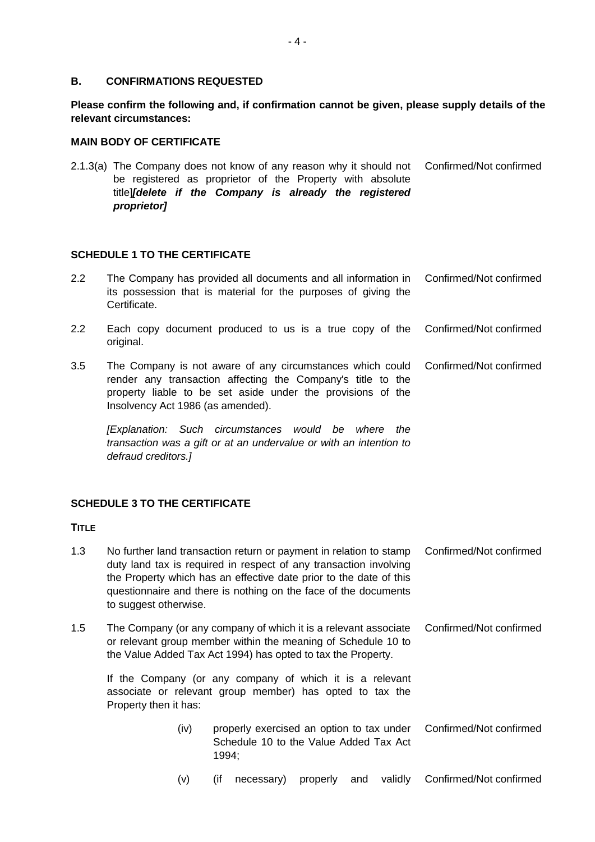#### **B. CONFIRMATIONS REQUESTED**

**Please confirm the following and, if confirmation cannot be given, please supply details of the relevant circumstances:**

#### **MAIN BODY OF CERTIFICATE**

2.1.3(a) The Company does not know of any reason why it should not Confirmed/Not confirmed be registered as proprietor of the Property with absolute title]*[delete if the Company is already the registered proprietor]*

#### **SCHEDULE 1 TO THE CERTIFICATE**

| Each copy document produced to us is a true copy of the Confirmed/Not confirmed                                                                                                                                                                      |                                                                     |
|------------------------------------------------------------------------------------------------------------------------------------------------------------------------------------------------------------------------------------------------------|---------------------------------------------------------------------|
|                                                                                                                                                                                                                                                      |                                                                     |
| The Company is not aware of any circumstances which could Confirmed/Not confirmed<br>render any transaction affecting the Company's title to the<br>property liable to be set aside under the provisions of the<br>Insolvency Act 1986 (as amended). |                                                                     |
|                                                                                                                                                                                                                                                      | original.<br>[Explanation: Such circumstances would be where<br>the |

*transaction was a gift or at an undervalue or with an intention to defraud creditors.]*

# **SCHEDULE 3 TO THE CERTIFICATE**

#### **TITLE**

| 1.3                                                                                                                                           | to suggest otherwise.                                                                                                                                                                            |      |       | No further land transaction return or payment in relation to stamp<br>duty land tax is required in respect of any transaction involving<br>the Property which has an effective date prior to the date of this<br>questionnaire and there is nothing on the face of the documents |          |                         |             | Confirmed/Not confirmed |
|-----------------------------------------------------------------------------------------------------------------------------------------------|--------------------------------------------------------------------------------------------------------------------------------------------------------------------------------------------------|------|-------|----------------------------------------------------------------------------------------------------------------------------------------------------------------------------------------------------------------------------------------------------------------------------------|----------|-------------------------|-------------|-------------------------|
| 1.5                                                                                                                                           | The Company (or any company of which it is a relevant associate<br>or relevant group member within the meaning of Schedule 10 to<br>the Value Added Tax Act 1994) has opted to tax the Property. |      |       |                                                                                                                                                                                                                                                                                  |          | Confirmed/Not confirmed |             |                         |
| If the Company (or any company of which it is a relevant<br>associate or relevant group member) has opted to tax the<br>Property then it has: |                                                                                                                                                                                                  |      |       |                                                                                                                                                                                                                                                                                  |          |                         |             |                         |
|                                                                                                                                               |                                                                                                                                                                                                  | (iv) | 1994; | properly exercised an option to tax under<br>Schedule 10 to the Value Added Tax Act                                                                                                                                                                                              |          |                         |             | Confirmed/Not confirmed |
|                                                                                                                                               |                                                                                                                                                                                                  | (v)  | (if   | necessary)                                                                                                                                                                                                                                                                       | properly |                         | and validly | Confirmed/Not confirmed |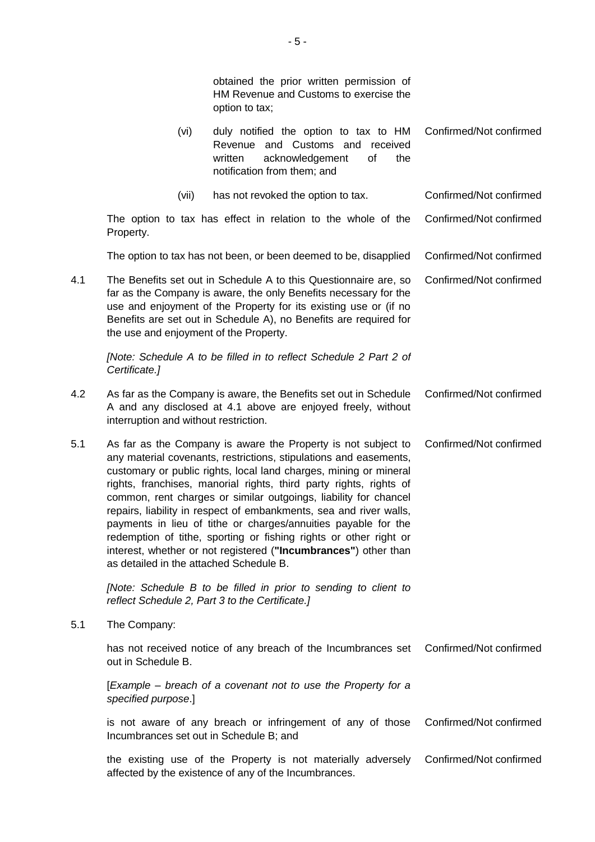obtained the prior written permission of HM Revenue and Customs to exercise the option to tax;

| (vi) | duly notified the option to tax to HM Confirmed/Not confirmed<br>Revenue and Customs and received |  |
|------|---------------------------------------------------------------------------------------------------|--|
|      | written acknowledgement of<br>the<br>notification from them; and                                  |  |

(vii) has not revoked the option to tax. Confirmed/Not confirmed

The option to tax has effect in relation to the whole of the Property. Confirmed/Not confirmed

The option to tax has not been, or been deemed to be, disapplied Confirmed/Not confirmed

4.1 The Benefits set out in Schedule A to this Questionnaire are, so far as the Company is aware, the only Benefits necessary for the use and enjoyment of the Property for its existing use or (if no Benefits are set out in Schedule A), no Benefits are required for the use and enjoyment of the Property. Confirmed/Not confirmed

*[Note: Schedule A to be filled in to reflect Schedule 2 Part 2 of Certificate.]*

- 4.2 As far as the Company is aware, the Benefits set out in Schedule A and any disclosed at 4.1 above are enjoyed freely, without interruption and without restriction. Confirmed/Not confirmed
- 5.1 As far as the Company is aware the Property is not subject to any material covenants, restrictions, stipulations and easements, customary or public rights, local land charges, mining or mineral rights, franchises, manorial rights, third party rights, rights of common, rent charges or similar outgoings, liability for chancel repairs, liability in respect of embankments, sea and river walls, payments in lieu of tithe or charges/annuities payable for the redemption of tithe, sporting or fishing rights or other right or interest, whether or not registered (**"Incumbrances"**) other than as detailed in the attached Schedule B. Confirmed/Not confirmed

*[Note: Schedule B to be filled in prior to sending to client to reflect Schedule 2, Part 3 to the Certificate.]*

5.1 The Company:

has not received notice of any breach of the Incumbrances set Confirmed/Not confirmed out in Schedule B.

[*Example – breach of a covenant not to use the Property for a specified purpose*.]

is not aware of any breach or infringement of any of those Incumbrances set out in Schedule B; and Confirmed/Not confirmed

the existing use of the Property is not materially adversely affected by the existence of any of the Incumbrances. Confirmed/Not confirmed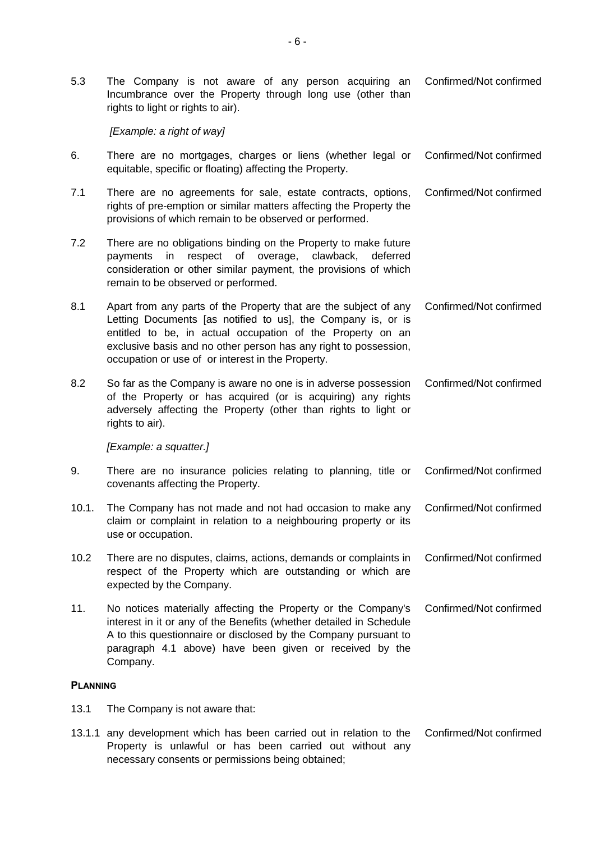5.3 The Company is not aware of any person acquiring an Incumbrance over the Property through long use (other than rights to light or rights to air). Confirmed/Not confirmed

*[Example: a right of way]*

- 6. There are no mortgages, charges or liens (whether legal or equitable, specific or floating) affecting the Property. Confirmed/Not confirmed
- 7.1 There are no agreements for sale, estate contracts, options, rights of pre-emption or similar matters affecting the Property the provisions of which remain to be observed or performed. Confirmed/Not confirmed
- 7.2 There are no obligations binding on the Property to make future payments in respect of overage, clawback, deferred consideration or other similar payment, the provisions of which remain to be observed or performed.
- 8.1 Apart from any parts of the Property that are the subject of any Letting Documents [as notified to us], the Company is, or is entitled to be, in actual occupation of the Property on an exclusive basis and no other person has any right to possession, occupation or use of or interest in the Property. Confirmed/Not confirmed
- 8.2 So far as the Company is aware no one is in adverse possession of the Property or has acquired (or is acquiring) any rights adversely affecting the Property (other than rights to light or rights to air). Confirmed/Not confirmed

*[Example: a squatter.]*

- 9. There are no insurance policies relating to planning, title or covenants affecting the Property. Confirmed/Not confirmed
- 10.1. The Company has not made and not had occasion to make any claim or complaint in relation to a neighbouring property or its use or occupation. Confirmed/Not confirmed
- 10.2 There are no disputes, claims, actions, demands or complaints in respect of the Property which are outstanding or which are expected by the Company. Confirmed/Not confirmed
- 11. No notices materially affecting the Property or the Company's interest in it or any of the Benefits (whether detailed in Schedule A to this questionnaire or disclosed by the Company pursuant to paragraph 4.1 above) have been given or received by the Company. Confirmed/Not confirmed

#### **PLANNING**

- 13.1 The Company is not aware that:
- 13.1.1 any development which has been carried out in relation to the Property is unlawful or has been carried out without any necessary consents or permissions being obtained; Confirmed/Not confirmed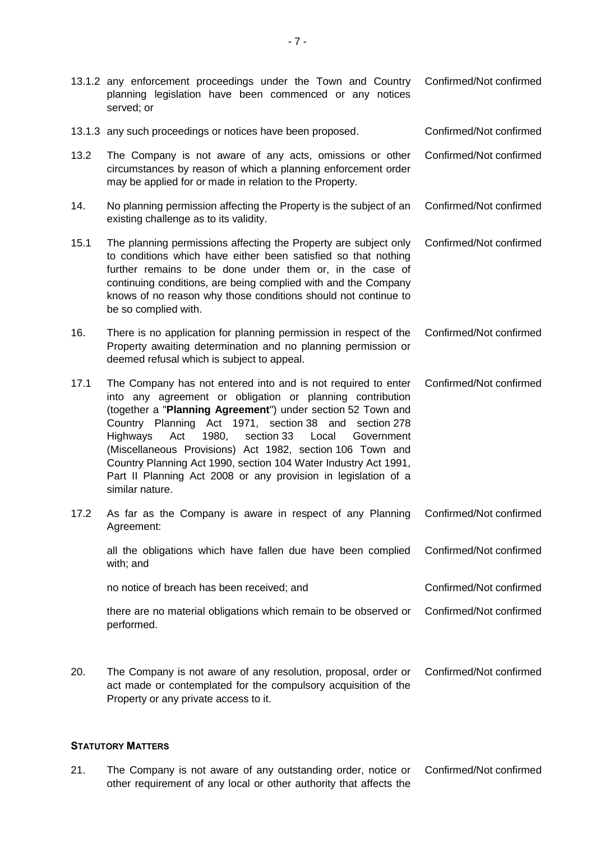- 13.1.2 any enforcement proceedings under the Town and Country planning legislation have been commenced or any notices served; or Confirmed/Not confirmed
- 13.1.3 any such proceedings or notices have been proposed. Confirmed/Not confirmed
- 13.2 The Company is not aware of any acts, omissions or other circumstances by reason of which a planning enforcement order may be applied for or made in relation to the Property. Confirmed/Not confirmed
- 14. No planning permission affecting the Property is the subject of an existing challenge as to its validity. Confirmed/Not confirmed
- 15.1 The planning permissions affecting the Property are subject only to conditions which have either been satisfied so that nothing further remains to be done under them or, in the case of continuing conditions, are being complied with and the Company knows of no reason why those conditions should not continue to be so complied with. Confirmed/Not confirmed
- 16. There is no application for planning permission in respect of the Property awaiting determination and no planning permission or deemed refusal which is subject to appeal. Confirmed/Not confirmed
- 17.1 The Company has not entered into and is not required to enter into any agreement or obligation or planning contribution (together a "**Planning Agreement**") under section 52 Town and Country Planning Act 1971, section 38 and section 278 Highways Act 1980, section 33 Local Government (Miscellaneous Provisions) Act 1982, section 106 Town and Country Planning Act 1990, section 104 Water Industry Act 1991, Part II Planning Act 2008 or any provision in legislation of a similar nature. Confirmed/Not confirmed
- 17.2 As far as the Company is aware in respect of any Planning Agreement: Confirmed/Not confirmed

all the obligations which have fallen due have been complied with; and Confirmed/Not confirmed

no notice of breach has been received: and  $\blacksquare$  Confirmed/Not confirmed

there are no material obligations which remain to be observed or performed. Confirmed/Not confirmed

20. The Company is not aware of any resolution, proposal, order or act made or contemplated for the compulsory acquisition of the Property or any private access to it. Confirmed/Not confirmed

#### **STATUTORY MATTERS**

21. The Company is not aware of any outstanding order, notice or other requirement of any local or other authority that affects the Confirmed/Not confirmed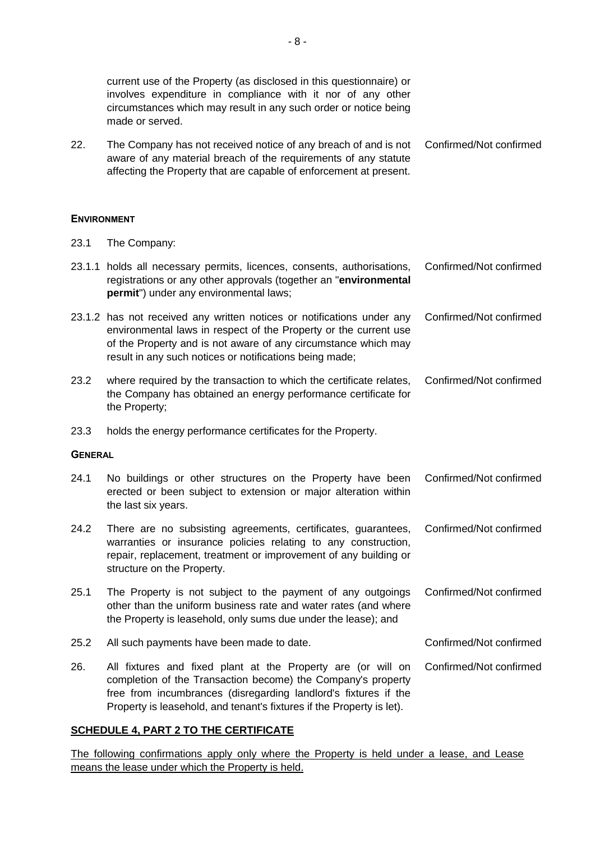current use of the Property (as disclosed in this questionnaire) or involves expenditure in compliance with it nor of any other circumstances which may result in any such order or notice being made or served.

22. The Company has not received notice of any breach of and is not Confirmed/Not confirmed aware of any material breach of the requirements of any statute affecting the Property that are capable of enforcement at present.

## **ENVIRONMENT**

23.1 The Company:

|                | 23.1.1 holds all necessary permits, licences, consents, authorisations,<br>registrations or any other approvals (together an "environmental<br>permit") under any environmental laws;                                                                                    | Confirmed/Not confirmed |
|----------------|--------------------------------------------------------------------------------------------------------------------------------------------------------------------------------------------------------------------------------------------------------------------------|-------------------------|
|                | 23.1.2 has not received any written notices or notifications under any<br>environmental laws in respect of the Property or the current use<br>of the Property and is not aware of any circumstance which may<br>result in any such notices or notifications being made;  | Confirmed/Not confirmed |
| 23.2           | where required by the transaction to which the certificate relates,<br>the Company has obtained an energy performance certificate for<br>the Property;                                                                                                                   | Confirmed/Not confirmed |
| 23.3           | holds the energy performance certificates for the Property.                                                                                                                                                                                                              |                         |
| <b>GENERAL</b> |                                                                                                                                                                                                                                                                          |                         |
| 24.1           | No buildings or other structures on the Property have been<br>erected or been subject to extension or major alteration within<br>the last six years.                                                                                                                     | Confirmed/Not confirmed |
| 24.2           | There are no subsisting agreements, certificates, guarantees,<br>warranties or insurance policies relating to any construction,<br>repair, replacement, treatment or improvement of any building or<br>structure on the Property.                                        | Confirmed/Not confirmed |
| 25.1           | The Property is not subject to the payment of any outgoings<br>other than the uniform business rate and water rates (and where<br>the Property is leasehold, only sums due under the lease); and                                                                         | Confirmed/Not confirmed |
| 25.2           | All such payments have been made to date.                                                                                                                                                                                                                                | Confirmed/Not confirmed |
| 26.            | All fixtures and fixed plant at the Property are (or will on<br>completion of the Transaction become) the Company's property<br>free from incumbrances (disregarding landlord's fixtures if the<br>Property is leasehold, and tenant's fixtures if the Property is let). | Confirmed/Not confirmed |

# **SCHEDULE 4, PART 2 TO THE CERTIFICATE**

The following confirmations apply only where the Property is held under a lease, and Lease means the lease under which the Property is held.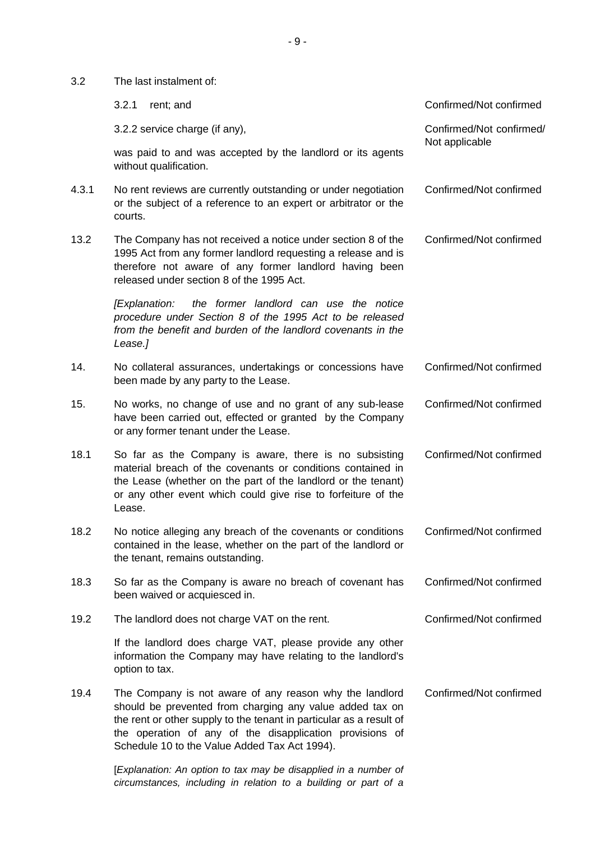3.2 The last instalment of:

|       | 3.2.1<br>rent; and                                                                                                                                                                                                                                                                                      | Confirmed/Not confirmed  |
|-------|---------------------------------------------------------------------------------------------------------------------------------------------------------------------------------------------------------------------------------------------------------------------------------------------------------|--------------------------|
|       | 3.2.2 service charge (if any),                                                                                                                                                                                                                                                                          | Confirmed/Not confirmed/ |
|       | was paid to and was accepted by the landlord or its agents<br>without qualification.                                                                                                                                                                                                                    | Not applicable           |
| 4.3.1 | No rent reviews are currently outstanding or under negotiation<br>or the subject of a reference to an expert or arbitrator or the<br>courts.                                                                                                                                                            | Confirmed/Not confirmed  |
| 13.2  | The Company has not received a notice under section 8 of the<br>1995 Act from any former landlord requesting a release and is<br>therefore not aware of any former landlord having been<br>released under section 8 of the 1995 Act.                                                                    | Confirmed/Not confirmed  |
|       | the former landlord can use the notice<br>[Explanation:<br>procedure under Section 8 of the 1995 Act to be released<br>from the benefit and burden of the landlord covenants in the<br>Lease.]                                                                                                          |                          |
| 14.   | No collateral assurances, undertakings or concessions have<br>been made by any party to the Lease.                                                                                                                                                                                                      | Confirmed/Not confirmed  |
| 15.   | No works, no change of use and no grant of any sub-lease<br>have been carried out, effected or granted by the Company<br>or any former tenant under the Lease.                                                                                                                                          | Confirmed/Not confirmed  |
| 18.1  | So far as the Company is aware, there is no subsisting<br>material breach of the covenants or conditions contained in<br>the Lease (whether on the part of the landlord or the tenant)<br>or any other event which could give rise to forfeiture of the<br>Lease.                                       | Confirmed/Not confirmed  |
| 18.2  | No notice alleging any breach of the covenants or conditions<br>contained in the lease, whether on the part of the landlord or<br>the tenant, remains outstanding.                                                                                                                                      | Confirmed/Not confirmed  |
| 18.3  | So far as the Company is aware no breach of covenant has<br>been waived or acquiesced in.                                                                                                                                                                                                               | Confirmed/Not confirmed  |
| 19.2  | The landlord does not charge VAT on the rent.                                                                                                                                                                                                                                                           | Confirmed/Not confirmed  |
|       | If the landlord does charge VAT, please provide any other<br>information the Company may have relating to the landlord's<br>option to tax.                                                                                                                                                              |                          |
| 19.4  | The Company is not aware of any reason why the landlord<br>should be prevented from charging any value added tax on<br>the rent or other supply to the tenant in particular as a result of<br>the operation of any of the disapplication provisions of<br>Schedule 10 to the Value Added Tax Act 1994). | Confirmed/Not confirmed  |
|       |                                                                                                                                                                                                                                                                                                         |                          |

[*Explanation: An option to tax may be disapplied in a number of circumstances, including in relation to a building or part of a*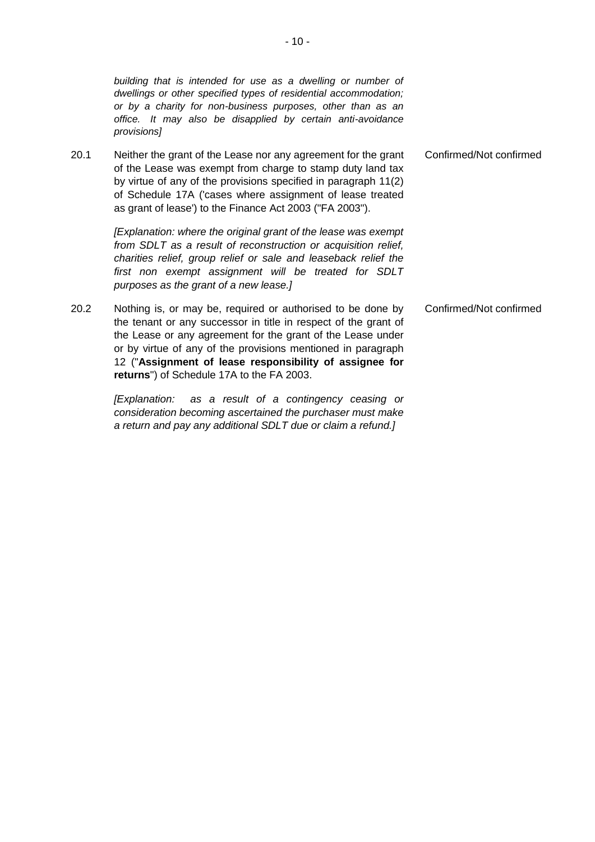|      | building that is intended for use as a dwelling or number of<br>dwellings or other specified types of residential accommodation;<br>or by a charity for non-business purposes, other than as an<br>office. It may also be disapplied by certain anti-avoidance<br>provisions]                                                                                         |                         |
|------|-----------------------------------------------------------------------------------------------------------------------------------------------------------------------------------------------------------------------------------------------------------------------------------------------------------------------------------------------------------------------|-------------------------|
| 20.1 | Neither the grant of the Lease nor any agreement for the grant<br>of the Lease was exempt from charge to stamp duty land tax<br>by virtue of any of the provisions specified in paragraph 11(2)<br>of Schedule 17A ('cases where assignment of lease treated<br>as grant of lease') to the Finance Act 2003 ("FA 2003").                                              | Confirmed/Not confirmed |
|      | [Explanation: where the original grant of the lease was exempt<br>from SDLT as a result of reconstruction or acquisition relief,<br>charities relief, group relief or sale and leaseback relief the<br>first non exempt assignment will be treated for SDLT<br>purposes as the grant of a new lease.]                                                                 |                         |
| 20.2 | Nothing is, or may be, required or authorised to be done by<br>the tenant or any successor in title in respect of the grant of<br>the Lease or any agreement for the grant of the Lease under<br>or by virtue of any of the provisions mentioned in paragraph<br>12 ("Assignment of lease responsibility of assignee for<br>returns") of Schedule 17A to the FA 2003. | Confirmed/Not confirmed |
|      | as a result of a contingency ceasing or<br><i>[Explanation:</i><br>consideration becoming ascertained the purchaser must make                                                                                                                                                                                                                                         |                         |

*a return and pay any additional SDLT due or claim a refund.]*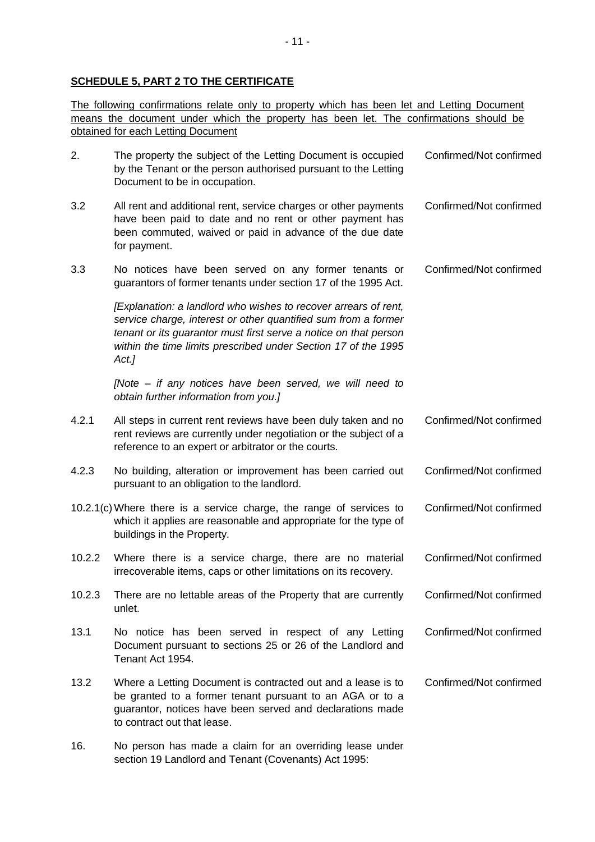## **SCHEDULE 5, PART 2 TO THE CERTIFICATE**

The following confirmations relate only to property which has been let and Letting Document means the document under which the property has been let. The confirmations should be obtained for each Letting Document

| 2.     | The property the subject of the Letting Document is occupied<br>by the Tenant or the person authorised pursuant to the Letting<br>Document to be in occupation.                                                                                                                 | Confirmed/Not confirmed |
|--------|---------------------------------------------------------------------------------------------------------------------------------------------------------------------------------------------------------------------------------------------------------------------------------|-------------------------|
| 3.2    | All rent and additional rent, service charges or other payments<br>have been paid to date and no rent or other payment has<br>been commuted, waived or paid in advance of the due date<br>for payment.                                                                          | Confirmed/Not confirmed |
| 3.3    | No notices have been served on any former tenants or<br>guarantors of former tenants under section 17 of the 1995 Act.                                                                                                                                                          | Confirmed/Not confirmed |
|        | [Explanation: a landlord who wishes to recover arrears of rent,<br>service charge, interest or other quantified sum from a former<br>tenant or its guarantor must first serve a notice on that person<br>within the time limits prescribed under Section 17 of the 1995<br>Act. |                         |
|        | [Note – if any notices have been served, we will need to<br>obtain further information from you.]                                                                                                                                                                               |                         |
| 4.2.1  | All steps in current rent reviews have been duly taken and no<br>rent reviews are currently under negotiation or the subject of a<br>reference to an expert or arbitrator or the courts.                                                                                        | Confirmed/Not confirmed |
| 4.2.3  | No building, alteration or improvement has been carried out<br>pursuant to an obligation to the landlord.                                                                                                                                                                       | Confirmed/Not confirmed |
|        | 10.2.1(c) Where there is a service charge, the range of services to<br>which it applies are reasonable and appropriate for the type of<br>buildings in the Property.                                                                                                            | Confirmed/Not confirmed |
| 10.2.2 | Where there is a service charge, there are no material<br>irrecoverable items, caps or other limitations on its recovery.                                                                                                                                                       | Confirmed/Not confirmed |
| 10.2.3 | There are no lettable areas of the Property that are currently<br>unlet.                                                                                                                                                                                                        | Confirmed/Not confirmed |
| 13.1   | No notice has been served in respect of any Letting<br>Document pursuant to sections 25 or 26 of the Landlord and<br>Tenant Act 1954.                                                                                                                                           | Confirmed/Not confirmed |
| 13.2   | Where a Letting Document is contracted out and a lease is to<br>be granted to a former tenant pursuant to an AGA or to a<br>guarantor, notices have been served and declarations made<br>to contract out that lease.                                                            | Confirmed/Not confirmed |
| 16.    | No person has made a claim for an overriding lease under<br>section 19 Landlord and Tenant (Covenants) Act 1995:                                                                                                                                                                |                         |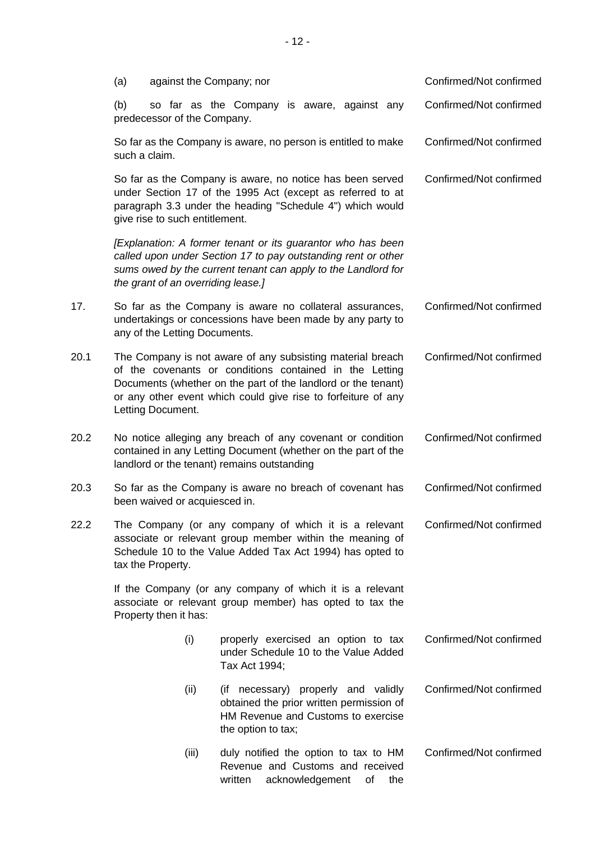|      | (a)                                                                                                                                                                                                                                                                          | against the Company; nor                                                                                                                                                                                               |                                                                                                                                                                                               |                         |                         | Confirmed/Not confirmed |
|------|------------------------------------------------------------------------------------------------------------------------------------------------------------------------------------------------------------------------------------------------------------------------------|------------------------------------------------------------------------------------------------------------------------------------------------------------------------------------------------------------------------|-----------------------------------------------------------------------------------------------------------------------------------------------------------------------------------------------|-------------------------|-------------------------|-------------------------|
|      | (b)                                                                                                                                                                                                                                                                          | predecessor of the Company.                                                                                                                                                                                            | so far as the Company is aware, against any                                                                                                                                                   |                         |                         | Confirmed/Not confirmed |
|      | such a claim.                                                                                                                                                                                                                                                                | So far as the Company is aware, no person is entitled to make                                                                                                                                                          |                                                                                                                                                                                               | Confirmed/Not confirmed |                         |                         |
|      |                                                                                                                                                                                                                                                                              | So far as the Company is aware, no notice has been served<br>under Section 17 of the 1995 Act (except as referred to at<br>paragraph 3.3 under the heading "Schedule 4") which would<br>give rise to such entitlement. |                                                                                                                                                                                               | Confirmed/Not confirmed |                         |                         |
|      |                                                                                                                                                                                                                                                                              | the grant of an overriding lease.]                                                                                                                                                                                     | [Explanation: A former tenant or its guarantor who has been<br>called upon under Section 17 to pay outstanding rent or other<br>sums owed by the current tenant can apply to the Landlord for |                         |                         |                         |
| 17.  |                                                                                                                                                                                                                                                                              | any of the Letting Documents.                                                                                                                                                                                          | So far as the Company is aware no collateral assurances,<br>undertakings or concessions have been made by any party to                                                                        |                         |                         | Confirmed/Not confirmed |
| 20.1 | The Company is not aware of any subsisting material breach<br>of the covenants or conditions contained in the Letting<br>Documents (whether on the part of the landlord or the tenant)<br>or any other event which could give rise to forfeiture of any<br>Letting Document. |                                                                                                                                                                                                                        |                                                                                                                                                                                               |                         |                         | Confirmed/Not confirmed |
| 20.2 | No notice alleging any breach of any covenant or condition<br>contained in any Letting Document (whether on the part of the<br>landlord or the tenant) remains outstanding                                                                                                   |                                                                                                                                                                                                                        |                                                                                                                                                                                               |                         | Confirmed/Not confirmed |                         |
| 20.3 | So far as the Company is aware no breach of covenant has<br>been waived or acquiesced in.                                                                                                                                                                                    |                                                                                                                                                                                                                        |                                                                                                                                                                                               |                         |                         | Confirmed/Not confirmed |
| 22.2 | The Company (or any company of which it is a relevant<br>associate or relevant group member within the meaning of<br>Schedule 10 to the Value Added Tax Act 1994) has opted to<br>tax the Property.                                                                          |                                                                                                                                                                                                                        |                                                                                                                                                                                               |                         |                         | Confirmed/Not confirmed |
|      | If the Company (or any company of which it is a relevant<br>associate or relevant group member) has opted to tax the<br>Property then it has:                                                                                                                                |                                                                                                                                                                                                                        |                                                                                                                                                                                               |                         |                         |                         |
|      |                                                                                                                                                                                                                                                                              | (i)                                                                                                                                                                                                                    | properly exercised an option to tax<br>under Schedule 10 to the Value Added<br>Tax Act 1994;                                                                                                  |                         |                         | Confirmed/Not confirmed |
|      |                                                                                                                                                                                                                                                                              | (ii)                                                                                                                                                                                                                   | (if necessary) properly and validly<br>obtained the prior written permission of<br>HM Revenue and Customs to exercise<br>the option to tax;                                                   |                         |                         | Confirmed/Not confirmed |
|      |                                                                                                                                                                                                                                                                              | (iii)                                                                                                                                                                                                                  | duly notified the option to tax to HM<br>Revenue and Customs and received<br>written<br>acknowledgement                                                                                       | of                      | the                     | Confirmed/Not confirmed |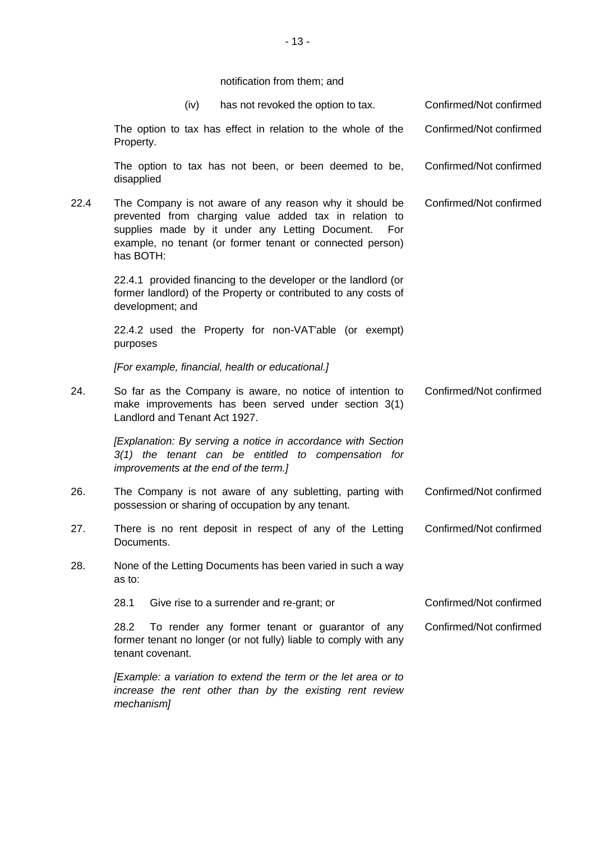notification from them; and

|      | (iv)                                  | has not revoked the option to tax.                                                                                                                                                                                                |     | Confirmed/Not confirmed |
|------|---------------------------------------|-----------------------------------------------------------------------------------------------------------------------------------------------------------------------------------------------------------------------------------|-----|-------------------------|
|      | Property.                             | The option to tax has effect in relation to the whole of the                                                                                                                                                                      |     | Confirmed/Not confirmed |
|      | disapplied                            | The option to tax has not been, or been deemed to be,                                                                                                                                                                             |     | Confirmed/Not confirmed |
| 22.4 | has BOTH:                             | The Company is not aware of any reason why it should be<br>prevented from charging value added tax in relation to<br>supplies made by it under any Letting Document.<br>example, no tenant (or former tenant or connected person) | For | Confirmed/Not confirmed |
|      | development; and                      | 22.4.1 provided financing to the developer or the landlord (or<br>former landlord) of the Property or contributed to any costs of                                                                                                 |     |                         |
|      | purposes                              | 22.4.2 used the Property for non-VAT'able (or exempt)                                                                                                                                                                             |     |                         |
|      |                                       | [For example, financial, health or educational.]                                                                                                                                                                                  |     |                         |
| 24.  | Landlord and Tenant Act 1927.         | So far as the Company is aware, no notice of intention to<br>make improvements has been served under section 3(1)                                                                                                                 |     | Confirmed/Not confirmed |
|      | improvements at the end of the term.] | [Explanation: By serving a notice in accordance with Section<br>$3(1)$ the tenant can be entitled to compensation for                                                                                                             |     |                         |
| 26.  |                                       | The Company is not aware of any subletting, parting with<br>possession or sharing of occupation by any tenant.                                                                                                                    |     | Confirmed/Not confirmed |
| 27.  | Documents.                            | There is no rent deposit in respect of any of the Letting                                                                                                                                                                         |     | Confirmed/Not confirmed |
| 28.  | as to:                                | None of the Letting Documents has been varied in such a way                                                                                                                                                                       |     |                         |
|      | 28.1                                  | Give rise to a surrender and re-grant; or                                                                                                                                                                                         |     | Confirmed/Not confirmed |
|      | 28.2<br>tenant covenant.              | To render any former tenant or guarantor of any<br>former tenant no longer (or not fully) liable to comply with any                                                                                                               |     | Confirmed/Not confirmed |
|      | mechanism]                            | [Example: a variation to extend the term or the let area or to<br>increase the rent other than by the existing rent review                                                                                                        |     |                         |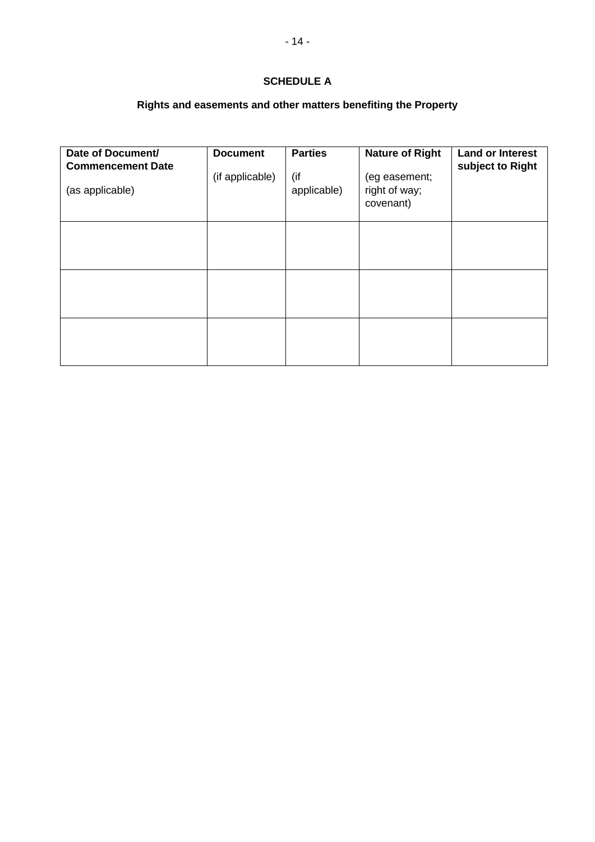# **SCHEDULE A**

# **Rights and easements and other matters benefiting the Property**

| Date of Document/<br><b>Commencement Date</b><br>(as applicable) | <b>Document</b><br>(if applicable) | <b>Parties</b><br>(if<br>applicable) | <b>Nature of Right</b><br>(eg easement;<br>right of way;<br>covenant) | <b>Land or Interest</b><br>subject to Right |
|------------------------------------------------------------------|------------------------------------|--------------------------------------|-----------------------------------------------------------------------|---------------------------------------------|
|                                                                  |                                    |                                      |                                                                       |                                             |
|                                                                  |                                    |                                      |                                                                       |                                             |
|                                                                  |                                    |                                      |                                                                       |                                             |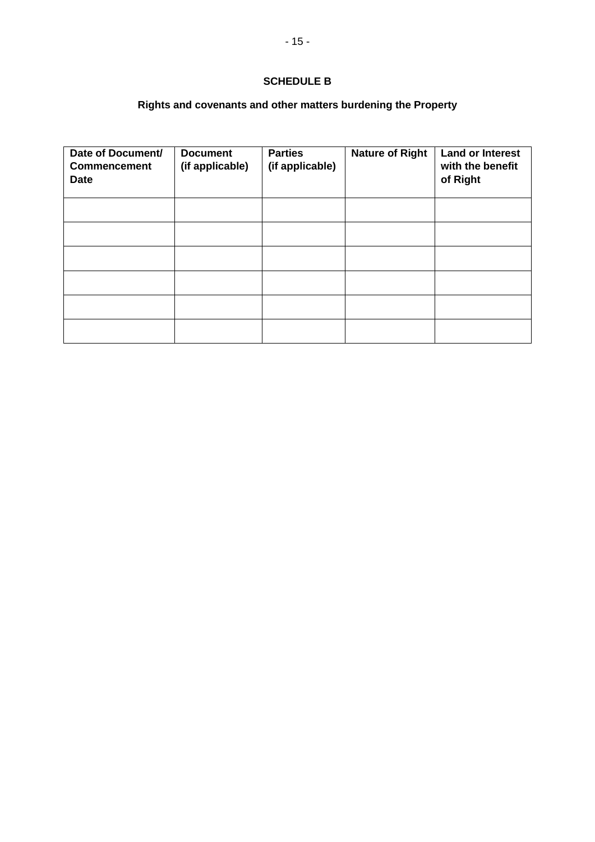# **SCHEDULE B**

# **Rights and covenants and other matters burdening the Property**

| Date of Document/<br><b>Commencement</b><br><b>Date</b> | <b>Document</b><br>(if applicable) | <b>Parties</b><br>(if applicable) | <b>Nature of Right</b> | <b>Land or Interest</b><br>with the benefit<br>of Right |
|---------------------------------------------------------|------------------------------------|-----------------------------------|------------------------|---------------------------------------------------------|
|                                                         |                                    |                                   |                        |                                                         |
|                                                         |                                    |                                   |                        |                                                         |
|                                                         |                                    |                                   |                        |                                                         |
|                                                         |                                    |                                   |                        |                                                         |
|                                                         |                                    |                                   |                        |                                                         |
|                                                         |                                    |                                   |                        |                                                         |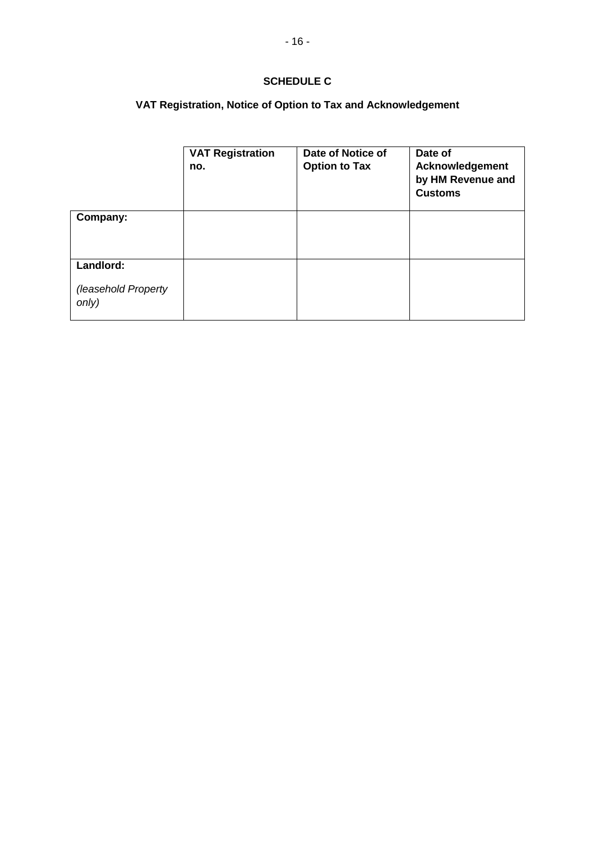# **SCHEDULE C**

# **VAT Registration, Notice of Option to Tax and Acknowledgement**

|                                           | <b>VAT Registration</b><br>no. | Date of Notice of<br><b>Option to Tax</b> | Date of<br>Acknowledgement<br>by HM Revenue and<br><b>Customs</b> |
|-------------------------------------------|--------------------------------|-------------------------------------------|-------------------------------------------------------------------|
| Company:                                  |                                |                                           |                                                                   |
| Landlord:<br>(leasehold Property<br>only) |                                |                                           |                                                                   |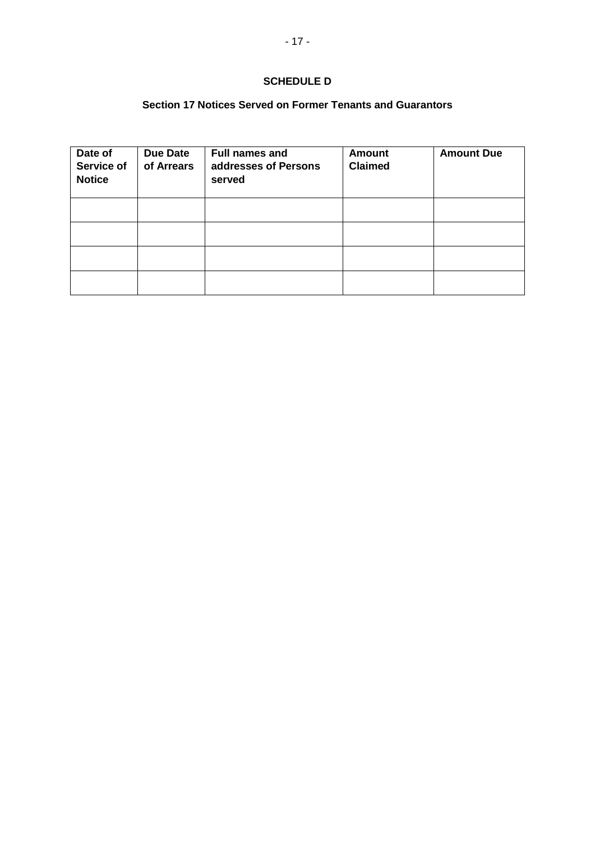# **SCHEDULE D**

# **Section 17 Notices Served on Former Tenants and Guarantors**

| Date of<br>Service of<br><b>Notice</b> | <b>Due Date</b><br>of Arrears | <b>Full names and</b><br>addresses of Persons<br>served | <b>Amount</b><br><b>Claimed</b> | <b>Amount Due</b> |
|----------------------------------------|-------------------------------|---------------------------------------------------------|---------------------------------|-------------------|
|                                        |                               |                                                         |                                 |                   |
|                                        |                               |                                                         |                                 |                   |
|                                        |                               |                                                         |                                 |                   |
|                                        |                               |                                                         |                                 |                   |